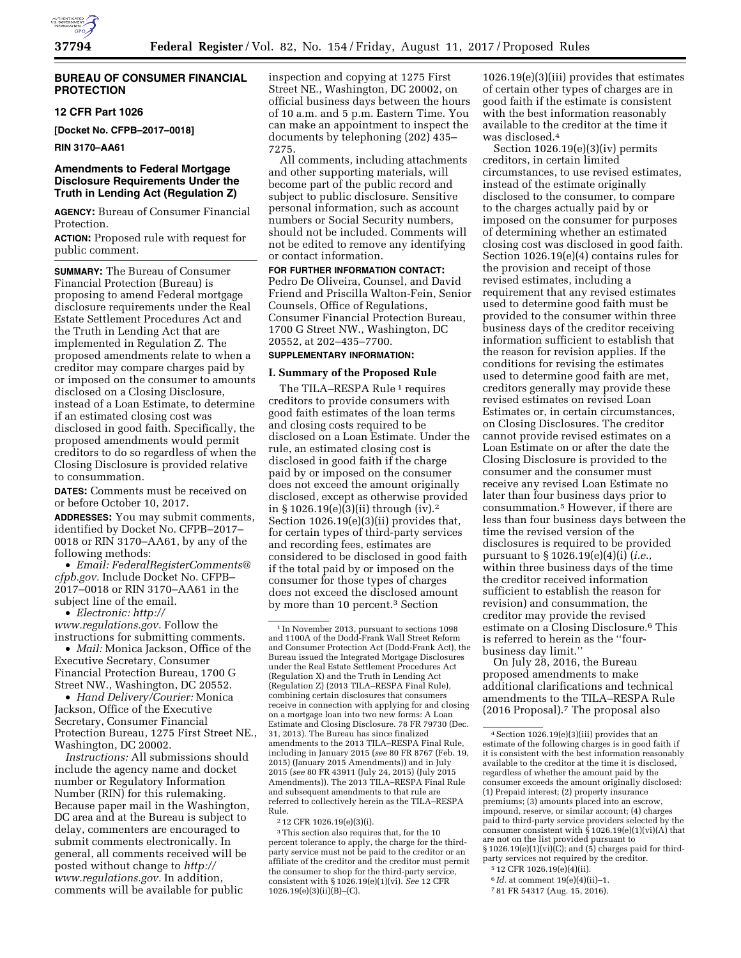

## **BUREAU OF CONSUMER FINANCIAL PROTECTION**

## **12 CFR Part 1026**

**[Docket No. CFPB–2017–0018]** 

## **RIN 3170–AA61**

## **Amendments to Federal Mortgage Disclosure Requirements Under the Truth in Lending Act (Regulation Z)**

**AGENCY:** Bureau of Consumer Financial Protection.

**ACTION:** Proposed rule with request for public comment.

**SUMMARY:** The Bureau of Consumer Financial Protection (Bureau) is proposing to amend Federal mortgage disclosure requirements under the Real Estate Settlement Procedures Act and the Truth in Lending Act that are implemented in Regulation Z. The proposed amendments relate to when a creditor may compare charges paid by or imposed on the consumer to amounts disclosed on a Closing Disclosure, instead of a Loan Estimate, to determine if an estimated closing cost was disclosed in good faith. Specifically, the proposed amendments would permit creditors to do so regardless of when the Closing Disclosure is provided relative to consummation.

**DATES:** Comments must be received on or before October 10, 2017.

**ADDRESSES:** You may submit comments, identified by Docket No. CFPB–2017– 0018 or RIN 3170–AA61, by any of the following methods:

• *Email: [FederalRegisterComments@](mailto:FederalRegisterComments@cfpb.gov) [cfpb.gov.](mailto:FederalRegisterComments@cfpb.gov)* Include Docket No. CFPB– 2017–0018 or RIN 3170–AA61 in the subject line of the email.

• *Electronic: [http://](http://www.regulations.gov)* 

*[www.regulations.gov.](http://www.regulations.gov)* Follow the instructions for submitting comments.

• *Mail:* Monica Jackson, Office of the Executive Secretary, Consumer Financial Protection Bureau, 1700 G Street NW., Washington, DC 20552.

• *Hand Delivery/Courier:* Monica Jackson, Office of the Executive Secretary, Consumer Financial Protection Bureau, 1275 First Street NE., Washington, DC 20002.

*Instructions:* All submissions should include the agency name and docket number or Regulatory Information Number (RIN) for this rulemaking. Because paper mail in the Washington, DC area and at the Bureau is subject to delay, commenters are encouraged to submit comments electronically. In general, all comments received will be posted without change to *[http://](http://www.regulations.gov) [www.regulations.gov.](http://www.regulations.gov)* In addition, comments will be available for public

inspection and copying at 1275 First Street NE., Washington, DC 20002, on official business days between the hours of 10 a.m. and 5 p.m. Eastern Time. You can make an appointment to inspect the documents by telephoning (202) 435– 7275.

All comments, including attachments and other supporting materials, will become part of the public record and subject to public disclosure. Sensitive personal information, such as account numbers or Social Security numbers, should not be included. Comments will not be edited to remove any identifying or contact information.

# **FOR FURTHER INFORMATION CONTACT:**

Pedro De Oliveira, Counsel, and David Friend and Priscilla Walton-Fein, Senior Counsels, Office of Regulations, Consumer Financial Protection Bureau, 1700 G Street NW., Washington, DC 20552, at 202–435–7700.

## **SUPPLEMENTARY INFORMATION:**

#### **I. Summary of the Proposed Rule**

The TILA–RESPA Rule<sup>1</sup> requires creditors to provide consumers with good faith estimates of the loan terms and closing costs required to be disclosed on a Loan Estimate. Under the rule, an estimated closing cost is disclosed in good faith if the charge paid by or imposed on the consumer does not exceed the amount originally disclosed, except as otherwise provided in § 1026.19(e)(3)(ii) through (iv).2 Section 1026.19(e)(3)(ii) provides that, for certain types of third-party services and recording fees, estimates are considered to be disclosed in good faith if the total paid by or imposed on the consumer for those types of charges does not exceed the disclosed amount by more than 10 percent.3 Section

2 12 CFR 1026.19(e)(3)(i).

3This section also requires that, for the 10 percent tolerance to apply, the charge for the thirdparty service must not be paid to the creditor or an affiliate of the creditor and the creditor must permit the consumer to shop for the third-party service, consistent with § 1026.19(e)(1)(vi). *See* 12 CFR 1026.19(e)(3)(ii)(B)–(C).

1026.19(e)(3)(iii) provides that estimates of certain other types of charges are in good faith if the estimate is consistent with the best information reasonably available to the creditor at the time it was disclosed 4

Section 1026.19(e)(3)(iv) permits creditors, in certain limited circumstances, to use revised estimates, instead of the estimate originally disclosed to the consumer, to compare to the charges actually paid by or imposed on the consumer for purposes of determining whether an estimated closing cost was disclosed in good faith. Section 1026.19(e)(4) contains rules for the provision and receipt of those revised estimates, including a requirement that any revised estimates used to determine good faith must be provided to the consumer within three business days of the creditor receiving information sufficient to establish that the reason for revision applies. If the conditions for revising the estimates used to determine good faith are met, creditors generally may provide these revised estimates on revised Loan Estimates or, in certain circumstances, on Closing Disclosures. The creditor cannot provide revised estimates on a Loan Estimate on or after the date the Closing Disclosure is provided to the consumer and the consumer must receive any revised Loan Estimate no later than four business days prior to consummation.5 However, if there are less than four business days between the time the revised version of the disclosures is required to be provided pursuant to § 1026.19(e)(4)(i) (*i.e.,*  within three business days of the time the creditor received information sufficient to establish the reason for revision) and consummation, the creditor may provide the revised estimate on a Closing Disclosure.6 This is referred to herein as the ''fourbusiness day limit.''

On July 28, 2016, the Bureau proposed amendments to make additional clarifications and technical amendments to the TILA–RESPA Rule (2016 Proposal).7 The proposal also

5 12 CFR 1026.19(e)(4)(ii).

7 81 FR 54317 (Aug. 15, 2016).

<sup>&</sup>lt;sup>1</sup> In November 2013, pursuant to sections 1098 and 1100A of the Dodd-Frank Wall Street Reform and Consumer Protection Act (Dodd-Frank Act), the Bureau issued the Integrated Mortgage Disclosures under the Real Estate Settlement Procedures Act (Regulation X) and the Truth in Lending Act (Regulation Z) (2013 TILA–RESPA Final Rule), combining certain disclosures that consumers receive in connection with applying for and closing on a mortgage loan into two new forms: A Loan Estimate and Closing Disclosure. 78 FR 79730 (Dec. 31, 2013). The Bureau has since finalized amendments to the 2013 TILA–RESPA Final Rule, including in January 2015 (*see* 80 FR 8767 (Feb. 19, 2015) (January 2015 Amendments)) and in July 2015 (*see* 80 FR 43911 (July 24, 2015) (July 2015 Amendments)). The 2013 TILA–RESPA Final Rule and subsequent amendments to that rule are referred to collectively herein as the TILA–RESPA Rule.

<sup>4</sup>Section 1026.19(e)(3)(iii) provides that an estimate of the following charges is in good faith if it is consistent with the best information reasonably available to the creditor at the time it is disclosed, regardless of whether the amount paid by the consumer exceeds the amount originally disclosed: (1) Prepaid interest; (2) property insurance premiums; (3) amounts placed into an escrow, impound, reserve, or similar account; (4) charges paid to third-party service providers selected by the consumer consistent with  $\hat{\S}$  1026.19(e)(1)(vi)(A) that are not on the list provided pursuant to § 1026.19(e)(1)(vi) $\tilde{C}$ ); and (5) charges paid for thirdparty services not required by the creditor.

<sup>6</sup> *Id.* at comment 19(e)(4)(ii)–1.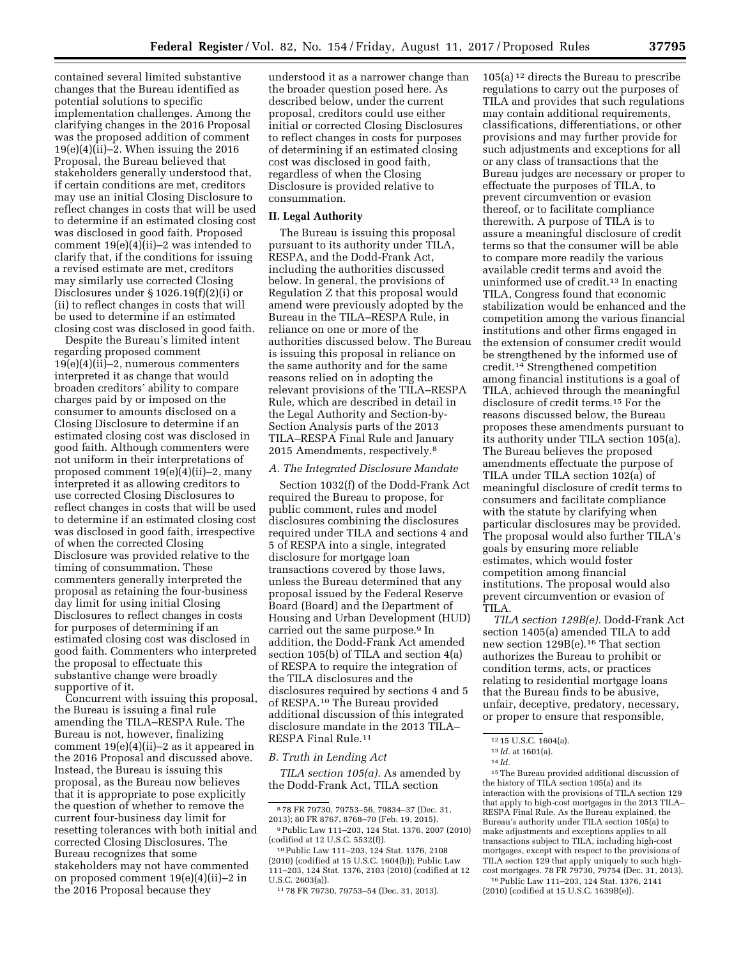contained several limited substantive changes that the Bureau identified as potential solutions to specific implementation challenges. Among the clarifying changes in the 2016 Proposal was the proposed addition of comment  $19(e)(4)(ii)-2$ . When issuing the 2016 Proposal, the Bureau believed that stakeholders generally understood that, if certain conditions are met, creditors may use an initial Closing Disclosure to reflect changes in costs that will be used to determine if an estimated closing cost was disclosed in good faith. Proposed comment 19(e)(4)(ii)–2 was intended to clarify that, if the conditions for issuing a revised estimate are met, creditors may similarly use corrected Closing Disclosures under § 1026.19(f)(2)(i) or (ii) to reflect changes in costs that will be used to determine if an estimated closing cost was disclosed in good faith.

Despite the Bureau's limited intent regarding proposed comment 19(e)(4)(ii)–2, numerous commenters interpreted it as change that would broaden creditors' ability to compare charges paid by or imposed on the consumer to amounts disclosed on a Closing Disclosure to determine if an estimated closing cost was disclosed in good faith. Although commenters were not uniform in their interpretations of proposed comment 19(e)(4)(ii)–2, many interpreted it as allowing creditors to use corrected Closing Disclosures to reflect changes in costs that will be used to determine if an estimated closing cost was disclosed in good faith, irrespective of when the corrected Closing Disclosure was provided relative to the timing of consummation. These commenters generally interpreted the proposal as retaining the four-business day limit for using initial Closing Disclosures to reflect changes in costs for purposes of determining if an estimated closing cost was disclosed in good faith. Commenters who interpreted the proposal to effectuate this substantive change were broadly supportive of it.

Concurrent with issuing this proposal, the Bureau is issuing a final rule amending the TILA–RESPA Rule. The Bureau is not, however, finalizing comment 19(e)(4)(ii)–2 as it appeared in the 2016 Proposal and discussed above. Instead, the Bureau is issuing this proposal, as the Bureau now believes that it is appropriate to pose explicitly the question of whether to remove the current four-business day limit for resetting tolerances with both initial and corrected Closing Disclosures. The Bureau recognizes that some stakeholders may not have commented on proposed comment 19(e)(4)(ii)–2 in the 2016 Proposal because they

understood it as a narrower change than the broader question posed here. As described below, under the current proposal, creditors could use either initial or corrected Closing Disclosures to reflect changes in costs for purposes of determining if an estimated closing cost was disclosed in good faith, regardless of when the Closing Disclosure is provided relative to consummation.

## **II. Legal Authority**

The Bureau is issuing this proposal pursuant to its authority under TILA, RESPA, and the Dodd-Frank Act, including the authorities discussed below. In general, the provisions of Regulation Z that this proposal would amend were previously adopted by the Bureau in the TILA–RESPA Rule, in reliance on one or more of the authorities discussed below. The Bureau is issuing this proposal in reliance on the same authority and for the same reasons relied on in adopting the relevant provisions of the TILA–RESPA Rule, which are described in detail in the Legal Authority and Section-by-Section Analysis parts of the 2013 TILA–RESPA Final Rule and January 2015 Amendments, respectively.8

### *A. The Integrated Disclosure Mandate*

Section 1032(f) of the Dodd-Frank Act required the Bureau to propose, for public comment, rules and model disclosures combining the disclosures required under TILA and sections 4 and 5 of RESPA into a single, integrated disclosure for mortgage loan transactions covered by those laws, unless the Bureau determined that any proposal issued by the Federal Reserve Board (Board) and the Department of Housing and Urban Development (HUD) carried out the same purpose.9 In addition, the Dodd-Frank Act amended section 105(b) of TILA and section 4(a) of RESPA to require the integration of the TILA disclosures and the disclosures required by sections 4 and 5 of RESPA.10 The Bureau provided additional discussion of this integrated disclosure mandate in the 2013 TILA– RESPA Final Rule.11

#### *B. Truth in Lending Act*

*TILA section 105(a).* As amended by the Dodd-Frank Act, TILA section

105(a) 12 directs the Bureau to prescribe regulations to carry out the purposes of TILA and provides that such regulations may contain additional requirements, classifications, differentiations, or other provisions and may further provide for such adjustments and exceptions for all or any class of transactions that the Bureau judges are necessary or proper to effectuate the purposes of TILA, to prevent circumvention or evasion thereof, or to facilitate compliance therewith. A purpose of TILA is to assure a meaningful disclosure of credit terms so that the consumer will be able to compare more readily the various available credit terms and avoid the uninformed use of credit.<sup>13</sup> In enacting TILA, Congress found that economic stabilization would be enhanced and the competition among the various financial institutions and other firms engaged in the extension of consumer credit would be strengthened by the informed use of credit.14 Strengthened competition among financial institutions is a goal of TILA, achieved through the meaningful disclosure of credit terms.15 For the reasons discussed below, the Bureau proposes these amendments pursuant to its authority under TILA section 105(a). The Bureau believes the proposed amendments effectuate the purpose of TILA under TILA section 102(a) of meaningful disclosure of credit terms to consumers and facilitate compliance with the statute by clarifying when particular disclosures may be provided. The proposal would also further TILA's goals by ensuring more reliable estimates, which would foster competition among financial institutions. The proposal would also prevent circumvention or evasion of TILA.

*TILA section 129B(e).* Dodd-Frank Act section 1405(a) amended TILA to add new section 129B(e).16 That section authorizes the Bureau to prohibit or condition terms, acts, or practices relating to residential mortgage loans that the Bureau finds to be abusive, unfair, deceptive, predatory, necessary, or proper to ensure that responsible,

15The Bureau provided additional discussion of the history of TILA section 105(a) and its interaction with the provisions of TILA section 129 that apply to high-cost mortgages in the 2013 TILA– RESPA Final Rule. As the Bureau explained, the Bureau's authority under TILA section 105(a) to make adjustments and exceptions applies to all transactions subject to TILA, including high-cost mortgages, except with respect to the provisions of TILA section 129 that apply uniquely to such highcost mortgages. 78 FR 79730, 79754 (Dec. 31, 2013).

16Public Law 111–203, 124 Stat. 1376, 2141 (2010) (codified at 15 U.S.C. 1639B(e)).

<sup>8</sup> 78 FR 79730, 79753–56, 79834–37 (Dec. 31, 2013); 80 FR 8767, 8768–70 (Feb. 19, 2015).

<sup>9</sup>Public Law 111–203, 124 Stat. 1376, 2007 (2010) (codified at 12 U.S.C. 5532(f)).

<sup>10</sup>Public Law 111–203, 124 Stat. 1376, 2108 (2010) (codified at 15 U.S.C. 1604(b)); Public Law 111–203, 124 Stat. 1376, 2103 (2010) (codified at 12 U.S.C. 2603(a)).

<sup>11</sup> 78 FR 79730, 79753–54 (Dec. 31, 2013).

<sup>12</sup> 15 U.S.C. 1604(a).

<sup>13</sup> *Id.* at 1601(a).

<sup>14</sup> *Id.*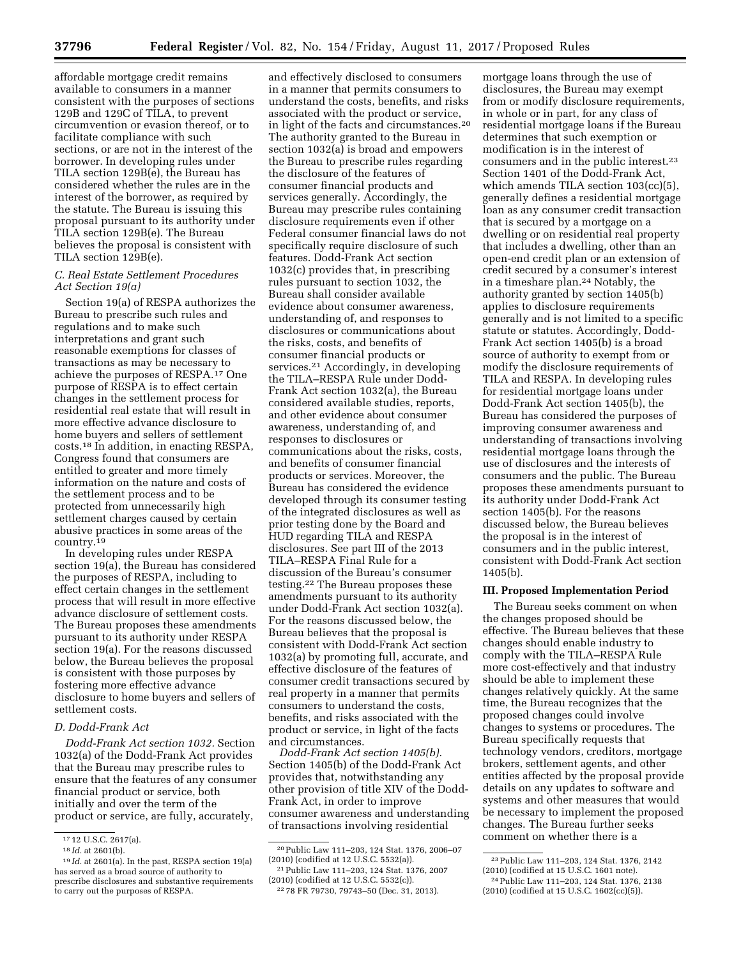affordable mortgage credit remains available to consumers in a manner consistent with the purposes of sections 129B and 129C of TILA, to prevent circumvention or evasion thereof, or to facilitate compliance with such sections, or are not in the interest of the borrower. In developing rules under TILA section 129B(e), the Bureau has considered whether the rules are in the interest of the borrower, as required by the statute. The Bureau is issuing this proposal pursuant to its authority under TILA section 129B(e). The Bureau believes the proposal is consistent with TILA section 129B(e).

## *C. Real Estate Settlement Procedures Act Section 19(a)*

Section 19(a) of RESPA authorizes the Bureau to prescribe such rules and regulations and to make such interpretations and grant such reasonable exemptions for classes of transactions as may be necessary to achieve the purposes of RESPA.17 One purpose of RESPA is to effect certain changes in the settlement process for residential real estate that will result in more effective advance disclosure to home buyers and sellers of settlement costs.18 In addition, in enacting RESPA, Congress found that consumers are entitled to greater and more timely information on the nature and costs of the settlement process and to be protected from unnecessarily high settlement charges caused by certain abusive practices in some areas of the country.19

In developing rules under RESPA section 19(a), the Bureau has considered the purposes of RESPA, including to effect certain changes in the settlement process that will result in more effective advance disclosure of settlement costs. The Bureau proposes these amendments pursuant to its authority under RESPA section 19(a). For the reasons discussed below, the Bureau believes the proposal is consistent with those purposes by fostering more effective advance disclosure to home buyers and sellers of settlement costs.

## *D. Dodd-Frank Act*

*Dodd-Frank Act section 1032.* Section 1032(a) of the Dodd-Frank Act provides that the Bureau may prescribe rules to ensure that the features of any consumer financial product or service, both initially and over the term of the product or service, are fully, accurately,

and effectively disclosed to consumers in a manner that permits consumers to understand the costs, benefits, and risks associated with the product or service, in light of the facts and circumstances.20 The authority granted to the Bureau in section 1032(a) is broad and empowers the Bureau to prescribe rules regarding the disclosure of the features of consumer financial products and services generally. Accordingly, the Bureau may prescribe rules containing disclosure requirements even if other Federal consumer financial laws do not specifically require disclosure of such features. Dodd-Frank Act section 1032(c) provides that, in prescribing rules pursuant to section 1032, the Bureau shall consider available evidence about consumer awareness, understanding of, and responses to disclosures or communications about the risks, costs, and benefits of consumer financial products or services.21 Accordingly, in developing the TILA–RESPA Rule under Dodd-Frank Act section 1032(a), the Bureau considered available studies, reports, and other evidence about consumer awareness, understanding of, and responses to disclosures or communications about the risks, costs, and benefits of consumer financial products or services. Moreover, the Bureau has considered the evidence developed through its consumer testing of the integrated disclosures as well as prior testing done by the Board and HUD regarding TILA and RESPA disclosures. See part III of the 2013 TILA–RESPA Final Rule for a discussion of the Bureau's consumer testing.22 The Bureau proposes these amendments pursuant to its authority under Dodd-Frank Act section 1032(a). For the reasons discussed below, the Bureau believes that the proposal is consistent with Dodd-Frank Act section 1032(a) by promoting full, accurate, and effective disclosure of the features of consumer credit transactions secured by real property in a manner that permits consumers to understand the costs, benefits, and risks associated with the product or service, in light of the facts and circumstances.

*Dodd-Frank Act section 1405(b).*  Section 1405(b) of the Dodd-Frank Act provides that, notwithstanding any other provision of title XIV of the Dodd-Frank Act, in order to improve consumer awareness and understanding of transactions involving residential

mortgage loans through the use of disclosures, the Bureau may exempt from or modify disclosure requirements, in whole or in part, for any class of residential mortgage loans if the Bureau determines that such exemption or modification is in the interest of consumers and in the public interest.23 Section 1401 of the Dodd-Frank Act, which amends TILA section 103(cc)(5), generally defines a residential mortgage loan as any consumer credit transaction that is secured by a mortgage on a dwelling or on residential real property that includes a dwelling, other than an open-end credit plan or an extension of credit secured by a consumer's interest in a timeshare plan.24 Notably, the authority granted by section 1405(b) applies to disclosure requirements generally and is not limited to a specific statute or statutes. Accordingly, Dodd-Frank Act section 1405(b) is a broad source of authority to exempt from or modify the disclosure requirements of TILA and RESPA. In developing rules for residential mortgage loans under Dodd-Frank Act section 1405(b), the Bureau has considered the purposes of improving consumer awareness and understanding of transactions involving residential mortgage loans through the use of disclosures and the interests of consumers and the public. The Bureau proposes these amendments pursuant to its authority under Dodd-Frank Act section 1405(b). For the reasons discussed below, the Bureau believes the proposal is in the interest of consumers and in the public interest, consistent with Dodd-Frank Act section 1405(b).

## **III. Proposed Implementation Period**

The Bureau seeks comment on when the changes proposed should be effective. The Bureau believes that these changes should enable industry to comply with the TILA–RESPA Rule more cost-effectively and that industry should be able to implement these changes relatively quickly. At the same time, the Bureau recognizes that the proposed changes could involve changes to systems or procedures. The Bureau specifically requests that technology vendors, creditors, mortgage brokers, settlement agents, and other entities affected by the proposal provide details on any updates to software and systems and other measures that would be necessary to implement the proposed changes. The Bureau further seeks comment on whether there is a

<sup>17</sup> 12 U.S.C. 2617(a).

<sup>18</sup> *Id.* at 2601(b).

<sup>19</sup> *Id.* at 2601(a). In the past, RESPA section 19(a) has served as a broad source of authority to prescribe disclosures and substantive requirements to carry out the purposes of RESPA.

<sup>20</sup>Public Law 111–203, 124 Stat. 1376, 2006–07 (2010) (codified at 12 U.S.C. 5532(a)).

<sup>21</sup>Public Law 111–203, 124 Stat. 1376, 2007 (2010) (codified at 12 U.S.C. 5532(c)).

<sup>22</sup> 78 FR 79730, 79743–50 (Dec. 31, 2013).

<sup>23</sup>Public Law 111–203, 124 Stat. 1376, 2142 (2010) (codified at 15 U.S.C. 1601 note).

<sup>24</sup>Public Law 111–203, 124 Stat. 1376, 2138

<sup>(2010) (</sup>codified at 15 U.S.C. 1602(cc)(5)).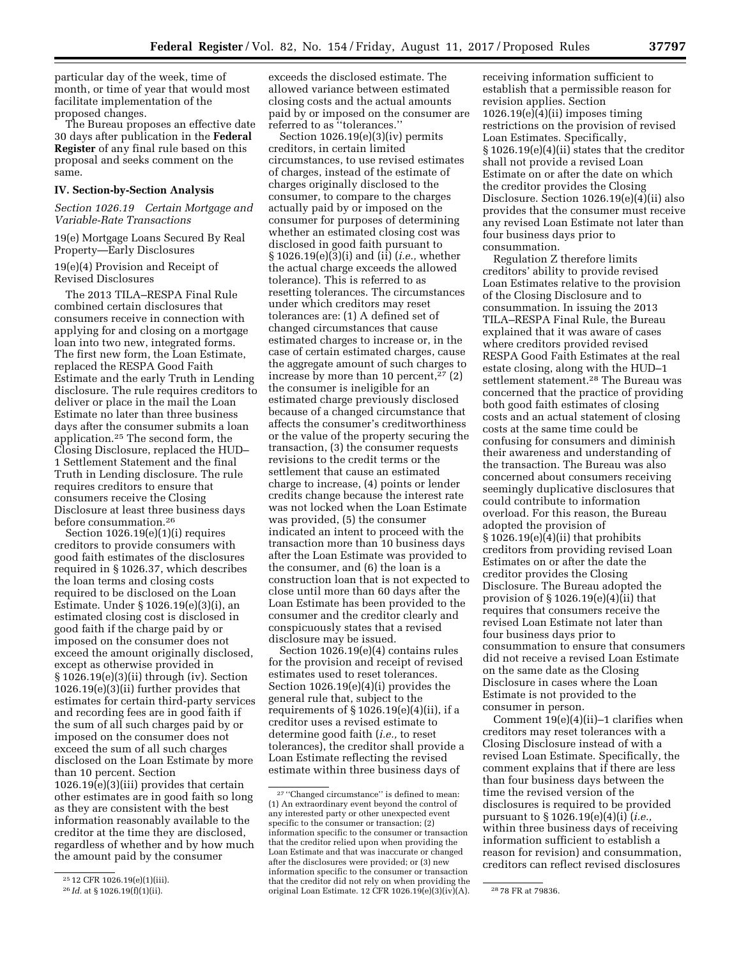particular day of the week, time of month, or time of year that would most facilitate implementation of the proposed changes.

The Bureau proposes an effective date 30 days after publication in the **Federal Register** of any final rule based on this proposal and seeks comment on the same.

## **IV. Section-by-Section Analysis**

*Section 1026.19 Certain Mortgage and Variable-Rate Transactions* 

19(e) Mortgage Loans Secured By Real Property—Early Disclosures

19(e)(4) Provision and Receipt of Revised Disclosures

The 2013 TILA–RESPA Final Rule combined certain disclosures that consumers receive in connection with applying for and closing on a mortgage loan into two new, integrated forms. The first new form, the Loan Estimate, replaced the RESPA Good Faith Estimate and the early Truth in Lending disclosure. The rule requires creditors to deliver or place in the mail the Loan Estimate no later than three business days after the consumer submits a loan application.25 The second form, the Closing Disclosure, replaced the HUD– 1 Settlement Statement and the final Truth in Lending disclosure. The rule requires creditors to ensure that consumers receive the Closing Disclosure at least three business days before consummation.26

Section 1026.19(e)(1)(i) requires creditors to provide consumers with good faith estimates of the disclosures required in § 1026.37, which describes the loan terms and closing costs required to be disclosed on the Loan Estimate. Under § 1026.19(e)(3)(i), an estimated closing cost is disclosed in good faith if the charge paid by or imposed on the consumer does not exceed the amount originally disclosed, except as otherwise provided in § 1026.19(e)(3)(ii) through (iv). Section 1026.19(e)(3)(ii) further provides that estimates for certain third-party services and recording fees are in good faith if the sum of all such charges paid by or imposed on the consumer does not exceed the sum of all such charges disclosed on the Loan Estimate by more than 10 percent. Section 1026.19(e)(3)(iii) provides that certain other estimates are in good faith so long as they are consistent with the best information reasonably available to the creditor at the time they are disclosed, regardless of whether and by how much the amount paid by the consumer

exceeds the disclosed estimate. The allowed variance between estimated closing costs and the actual amounts paid by or imposed on the consumer are referred to as ''tolerances.''

Section 1026.19(e)(3)(iv) permits creditors, in certain limited circumstances, to use revised estimates of charges, instead of the estimate of charges originally disclosed to the consumer, to compare to the charges actually paid by or imposed on the consumer for purposes of determining whether an estimated closing cost was disclosed in good faith pursuant to § 1026.19(e)(3)(i) and (ii) (*i.e.,* whether the actual charge exceeds the allowed tolerance). This is referred to as resetting tolerances. The circumstances under which creditors may reset tolerances are: (1) A defined set of changed circumstances that cause estimated charges to increase or, in the case of certain estimated charges, cause the aggregate amount of such charges to increase by more than 10 percent, $27$  (2) the consumer is ineligible for an estimated charge previously disclosed because of a changed circumstance that affects the consumer's creditworthiness or the value of the property securing the transaction, (3) the consumer requests revisions to the credit terms or the settlement that cause an estimated charge to increase, (4) points or lender credits change because the interest rate was not locked when the Loan Estimate was provided, (5) the consumer indicated an intent to proceed with the transaction more than 10 business days after the Loan Estimate was provided to the consumer, and (6) the loan is a construction loan that is not expected to close until more than 60 days after the Loan Estimate has been provided to the consumer and the creditor clearly and conspicuously states that a revised disclosure may be issued.

Section 1026.19(e)(4) contains rules for the provision and receipt of revised estimates used to reset tolerances. Section 1026.19(e)(4)(i) provides the general rule that, subject to the requirements of  $\S 1026.19(e)(4)(ii)$ , if a creditor uses a revised estimate to determine good faith (*i.e.,* to reset tolerances), the creditor shall provide a Loan Estimate reflecting the revised estimate within three business days of

receiving information sufficient to establish that a permissible reason for revision applies. Section 1026.19(e)(4)(ii) imposes timing restrictions on the provision of revised Loan Estimates. Specifically, § 1026.19(e)(4)(ii) states that the creditor shall not provide a revised Loan Estimate on or after the date on which the creditor provides the Closing Disclosure. Section  $1026.19(e)(4)(ii)$  also provides that the consumer must receive any revised Loan Estimate not later than four business days prior to consummation.

Regulation Z therefore limits creditors' ability to provide revised Loan Estimates relative to the provision of the Closing Disclosure and to consummation. In issuing the 2013 TILA–RESPA Final Rule, the Bureau explained that it was aware of cases where creditors provided revised RESPA Good Faith Estimates at the real estate closing, along with the HUD–1 settlement statement.<sup>28</sup> The Bureau was concerned that the practice of providing both good faith estimates of closing costs and an actual statement of closing costs at the same time could be confusing for consumers and diminish their awareness and understanding of the transaction. The Bureau was also concerned about consumers receiving seemingly duplicative disclosures that could contribute to information overload. For this reason, the Bureau adopted the provision of § 1026.19(e)(4)(ii) that prohibits creditors from providing revised Loan Estimates on or after the date the creditor provides the Closing Disclosure. The Bureau adopted the provision of  $\S 1026.19(e)(4)$ (ii) that requires that consumers receive the revised Loan Estimate not later than four business days prior to consummation to ensure that consumers did not receive a revised Loan Estimate on the same date as the Closing Disclosure in cases where the Loan Estimate is not provided to the consumer in person.

Comment 19(e)(4)(ii)–1 clarifies when creditors may reset tolerances with a Closing Disclosure instead of with a revised Loan Estimate. Specifically, the comment explains that if there are less than four business days between the time the revised version of the disclosures is required to be provided pursuant to § 1026.19(e)(4)(i) (*i.e.,*  within three business days of receiving information sufficient to establish a reason for revision) and consummation, creditors can reflect revised disclosures

<sup>25</sup> 12 CFR 1026.19(e)(1)(iii). 26 *Id.* at § 1026.19(f)(1)(ii).

<sup>27</sup> ''Changed circumstance'' is defined to mean: (1) An extraordinary event beyond the control of any interested party or other unexpected event specific to the consumer or transaction; (2) information specific to the consumer or transaction that the creditor relied upon when providing the Loan Estimate and that was inaccurate or changed after the disclosures were provided; or (3) new information specific to the consumer or transaction that the creditor did not rely on when providing the original Loan Estimate. 12 CFR 1026.19(e)(3)(iv)(A).  $28\,78$  FR at 79836.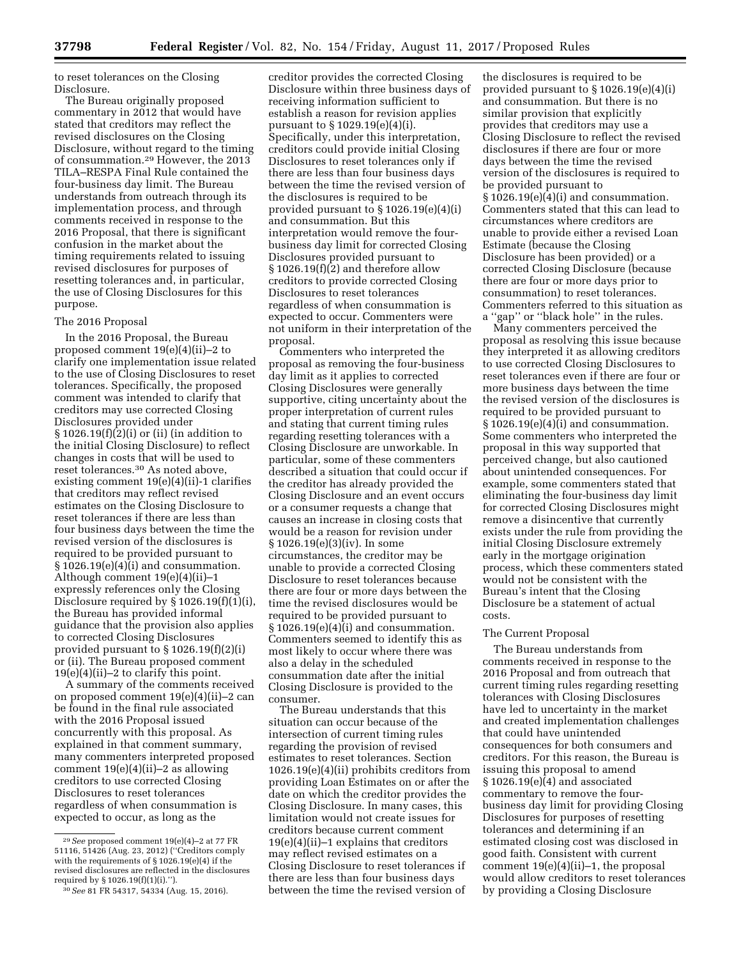to reset tolerances on the Closing Disclosure.

The Bureau originally proposed commentary in 2012 that would have stated that creditors may reflect the revised disclosures on the Closing Disclosure, without regard to the timing of consummation.29 However, the 2013 TILA–RESPA Final Rule contained the four-business day limit. The Bureau understands from outreach through its implementation process, and through comments received in response to the 2016 Proposal, that there is significant confusion in the market about the timing requirements related to issuing revised disclosures for purposes of resetting tolerances and, in particular, the use of Closing Disclosures for this purpose.

#### The 2016 Proposal

In the 2016 Proposal, the Bureau proposed comment 19(e)(4)(ii)–2 to clarify one implementation issue related to the use of Closing Disclosures to reset tolerances. Specifically, the proposed comment was intended to clarify that creditors may use corrected Closing Disclosures provided under § 1026.19(f)(2)(i) or (ii) (in addition to the initial Closing Disclosure) to reflect changes in costs that will be used to reset tolerances.30 As noted above, existing comment 19(e)(4)(ii)-1 clarifies that creditors may reflect revised estimates on the Closing Disclosure to reset tolerances if there are less than four business days between the time the revised version of the disclosures is required to be provided pursuant to  $§ 1026.19(e)(4)(i)$  and consummation. Although comment 19(e)(4)(ii)–1 expressly references only the Closing Disclosure required by § 1026.19(f)(1)(i), the Bureau has provided informal guidance that the provision also applies to corrected Closing Disclosures provided pursuant to § 1026.19(f)(2)(i) or (ii). The Bureau proposed comment  $19(e)(4)(ii)$ –2 to clarify this point.

A summary of the comments received on proposed comment 19(e)(4)(ii)–2 can be found in the final rule associated with the 2016 Proposal issued concurrently with this proposal. As explained in that comment summary, many commenters interpreted proposed comment  $19(e)(4)(ii)-2$  as allowing creditors to use corrected Closing Disclosures to reset tolerances regardless of when consummation is expected to occur, as long as the

creditor provides the corrected Closing Disclosure within three business days of receiving information sufficient to establish a reason for revision applies pursuant to § 1029.19(e)(4)(i). Specifically, under this interpretation, creditors could provide initial Closing Disclosures to reset tolerances only if there are less than four business days between the time the revised version of the disclosures is required to be provided pursuant to § 1026.19(e)(4)(i) and consummation. But this interpretation would remove the fourbusiness day limit for corrected Closing Disclosures provided pursuant to § 1026.19(f)(2) and therefore allow creditors to provide corrected Closing Disclosures to reset tolerances regardless of when consummation is expected to occur. Commenters were not uniform in their interpretation of the proposal.

Commenters who interpreted the proposal as removing the four-business day limit as it applies to corrected Closing Disclosures were generally supportive, citing uncertainty about the proper interpretation of current rules and stating that current timing rules regarding resetting tolerances with a Closing Disclosure are unworkable. In particular, some of these commenters described a situation that could occur if the creditor has already provided the Closing Disclosure and an event occurs or a consumer requests a change that causes an increase in closing costs that would be a reason for revision under § 1026.19(e)(3)(iv). In some circumstances, the creditor may be unable to provide a corrected Closing Disclosure to reset tolerances because there are four or more days between the time the revised disclosures would be required to be provided pursuant to  $\S 1026.19(e)(4)(i)$  and consummation. Commenters seemed to identify this as most likely to occur where there was also a delay in the scheduled consummation date after the initial Closing Disclosure is provided to the consumer.

The Bureau understands that this situation can occur because of the intersection of current timing rules regarding the provision of revised estimates to reset tolerances. Section 1026.19(e)(4)(ii) prohibits creditors from providing Loan Estimates on or after the date on which the creditor provides the Closing Disclosure. In many cases, this limitation would not create issues for creditors because current comment 19(e)(4)(ii)–1 explains that creditors may reflect revised estimates on a Closing Disclosure to reset tolerances if there are less than four business days between the time the revised version of

the disclosures is required to be provided pursuant to § 1026.19(e)(4)(i) and consummation. But there is no similar provision that explicitly provides that creditors may use a Closing Disclosure to reflect the revised disclosures if there are four or more days between the time the revised version of the disclosures is required to be provided pursuant to  $§ 1026.19(e)(4)(i)$  and consummation. Commenters stated that this can lead to circumstances where creditors are unable to provide either a revised Loan Estimate (because the Closing Disclosure has been provided) or a corrected Closing Disclosure (because there are four or more days prior to consummation) to reset tolerances. Commenters referred to this situation as a ''gap'' or ''black hole'' in the rules.

Many commenters perceived the proposal as resolving this issue because they interpreted it as allowing creditors to use corrected Closing Disclosures to reset tolerances even if there are four or more business days between the time the revised version of the disclosures is required to be provided pursuant to  $§ 1026.19(e)(4)(i)$  and consummation. Some commenters who interpreted the proposal in this way supported that perceived change, but also cautioned about unintended consequences. For example, some commenters stated that eliminating the four-business day limit for corrected Closing Disclosures might remove a disincentive that currently exists under the rule from providing the initial Closing Disclosure extremely early in the mortgage origination process, which these commenters stated would not be consistent with the Bureau's intent that the Closing Disclosure be a statement of actual costs.

### The Current Proposal

The Bureau understands from comments received in response to the 2016 Proposal and from outreach that current timing rules regarding resetting tolerances with Closing Disclosures have led to uncertainty in the market and created implementation challenges that could have unintended consequences for both consumers and creditors. For this reason, the Bureau is issuing this proposal to amend § 1026.19(e)(4) and associated commentary to remove the fourbusiness day limit for providing Closing Disclosures for purposes of resetting tolerances and determining if an estimated closing cost was disclosed in good faith. Consistent with current comment 19(e)(4)(ii)–1, the proposal would allow creditors to reset tolerances by providing a Closing Disclosure

<sup>29</sup>*See* proposed comment 19(e)(4)–2 at 77 FR 51116, 51426 (Aug. 23, 2012) (''Creditors comply with the requirements of § 1026.19(e)(4) if the revised disclosures are reflected in the disclosures required by § 1026.19(f)(1)(i).'').

<sup>30</sup>*See* 81 FR 54317, 54334 (Aug. 15, 2016).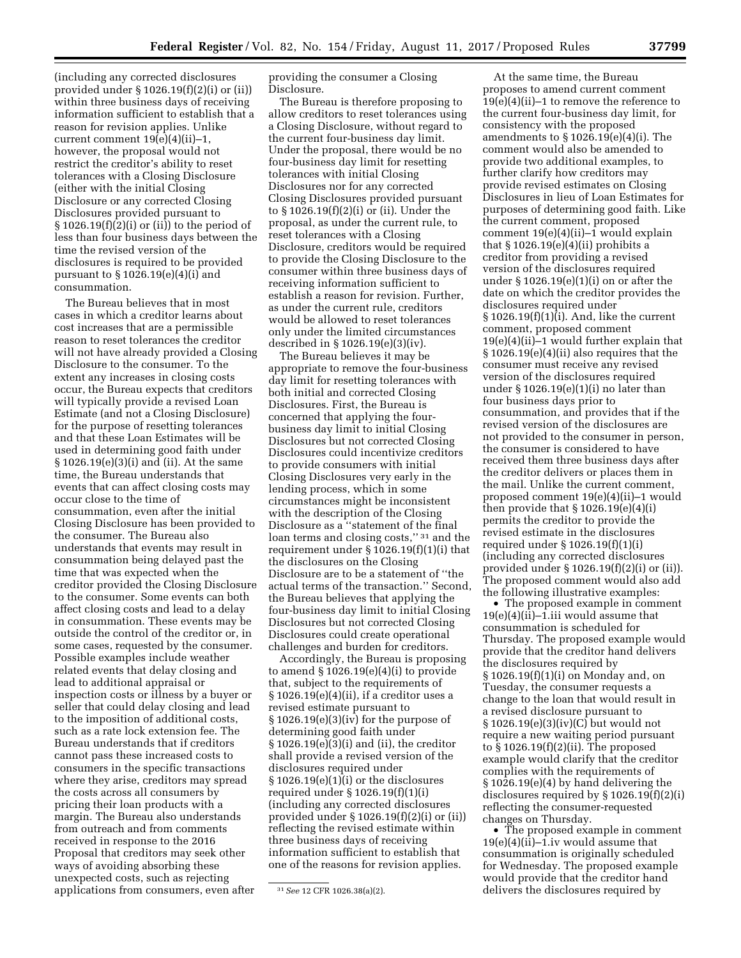(including any corrected disclosures provided under § 1026.19(f)(2)(i) or (ii)) within three business days of receiving information sufficient to establish that a reason for revision applies. Unlike current comment 19(e)(4)(ii)–1, however, the proposal would not restrict the creditor's ability to reset tolerances with a Closing Disclosure (either with the initial Closing Disclosure or any corrected Closing Disclosures provided pursuant to  $§ 1026.19(f)(2)(i)$  or (ii)) to the period of less than four business days between the time the revised version of the disclosures is required to be provided pursuant to § 1026.19(e)(4)(i) and consummation.

The Bureau believes that in most cases in which a creditor learns about cost increases that are a permissible reason to reset tolerances the creditor will not have already provided a Closing Disclosure to the consumer. To the extent any increases in closing costs occur, the Bureau expects that creditors will typically provide a revised Loan Estimate (and not a Closing Disclosure) for the purpose of resetting tolerances and that these Loan Estimates will be used in determining good faith under § 1026.19(e)(3)(i) and (ii). At the same time, the Bureau understands that events that can affect closing costs may occur close to the time of consummation, even after the initial Closing Disclosure has been provided to the consumer. The Bureau also understands that events may result in consummation being delayed past the time that was expected when the creditor provided the Closing Disclosure to the consumer. Some events can both affect closing costs and lead to a delay in consummation. These events may be outside the control of the creditor or, in some cases, requested by the consumer. Possible examples include weather related events that delay closing and lead to additional appraisal or inspection costs or illness by a buyer or seller that could delay closing and lead to the imposition of additional costs, such as a rate lock extension fee. The Bureau understands that if creditors cannot pass these increased costs to consumers in the specific transactions where they arise, creditors may spread the costs across all consumers by pricing their loan products with a margin. The Bureau also understands from outreach and from comments received in response to the 2016 Proposal that creditors may seek other ways of avoiding absorbing these unexpected costs, such as rejecting applications from consumers, even after

providing the consumer a Closing Disclosure.

The Bureau is therefore proposing to allow creditors to reset tolerances using a Closing Disclosure, without regard to the current four-business day limit. Under the proposal, there would be no four-business day limit for resetting tolerances with initial Closing Disclosures nor for any corrected Closing Disclosures provided pursuant to § 1026.19(f)(2)(i) or (ii). Under the proposal, as under the current rule, to reset tolerances with a Closing Disclosure, creditors would be required to provide the Closing Disclosure to the consumer within three business days of receiving information sufficient to establish a reason for revision. Further, as under the current rule, creditors would be allowed to reset tolerances only under the limited circumstances described in § 1026.19(e)(3)(iv).

The Bureau believes it may be appropriate to remove the four-business day limit for resetting tolerances with both initial and corrected Closing Disclosures. First, the Bureau is concerned that applying the fourbusiness day limit to initial Closing Disclosures but not corrected Closing Disclosures could incentivize creditors to provide consumers with initial Closing Disclosures very early in the lending process, which in some circumstances might be inconsistent with the description of the Closing Disclosure as a ''statement of the final loan terms and closing costs,'' 31 and the requirement under § 1026.19(f)(1)(i) that the disclosures on the Closing Disclosure are to be a statement of ''the actual terms of the transaction.'' Second, the Bureau believes that applying the four-business day limit to initial Closing Disclosures but not corrected Closing Disclosures could create operational challenges and burden for creditors.

Accordingly, the Bureau is proposing to amend  $\S$  1026.19(e)(4)(i) to provide that, subject to the requirements of § 1026.19(e)(4)(ii), if a creditor uses a revised estimate pursuant to § 1026.19(e)(3)(iv) for the purpose of determining good faith under § 1026.19(e)(3)(i) and (ii), the creditor shall provide a revised version of the disclosures required under § 1026.19(e)(1)(i) or the disclosures required under § 1026.19(f)(1)(i) (including any corrected disclosures provided under § 1026.19(f)(2)(i) or (ii)) reflecting the revised estimate within three business days of receiving information sufficient to establish that one of the reasons for revision applies.

At the same time, the Bureau proposes to amend current comment 19(e)(4)(ii)–1 to remove the reference to the current four-business day limit, for consistency with the proposed amendments to § 1026.19(e)(4)(i). The comment would also be amended to provide two additional examples, to further clarify how creditors may provide revised estimates on Closing Disclosures in lieu of Loan Estimates for purposes of determining good faith. Like the current comment, proposed comment 19(e)(4)(ii)–1 would explain that  $\S 1026.19(e)(4)(ii)$  prohibits a creditor from providing a revised version of the disclosures required under § 1026.19(e)(1)(i) on or after the date on which the creditor provides the disclosures required under  $§ 1026.19(f)(1)(i)$ . And, like the current comment, proposed comment 19(e)(4)(ii)–1 would further explain that § 1026.19(e)(4)(ii) also requires that the consumer must receive any revised version of the disclosures required under  $\S 1026.19(e)(1)(i)$  no later than four business days prior to consummation, and provides that if the revised version of the disclosures are not provided to the consumer in person, the consumer is considered to have received them three business days after the creditor delivers or places them in the mail. Unlike the current comment, proposed comment 19(e)(4)(ii)–1 would then provide that  $\S 1026.19(e)(4)(i)$ permits the creditor to provide the revised estimate in the disclosures required under § 1026.19(f)(1)(i) (including any corrected disclosures provided under § 1026.19(f)(2)(i) or (ii)). The proposed comment would also add the following illustrative examples:

• The proposed example in comment 19(e)(4)(ii)–1.iii would assume that consummation is scheduled for Thursday. The proposed example would provide that the creditor hand delivers the disclosures required by § 1026.19(f)(1)(i) on Monday and, on Tuesday, the consumer requests a change to the loan that would result in a revised disclosure pursuant to § 1026.19(e)(3)(iv)(C) but would not require a new waiting period pursuant to  $\S 1026.19(f)(2)(ii)$ . The proposed example would clarify that the creditor complies with the requirements of § 1026.19(e)(4) by hand delivering the disclosures required by § 1026.19(f)(2)(i) reflecting the consumer-requested changes on Thursday.

• The proposed example in comment 19(e)(4)(ii)–1.iv would assume that consummation is originally scheduled for Wednesday. The proposed example would provide that the creditor hand delivers the disclosures required by

<sup>31</sup>*See* 12 CFR 1026.38(a)(2).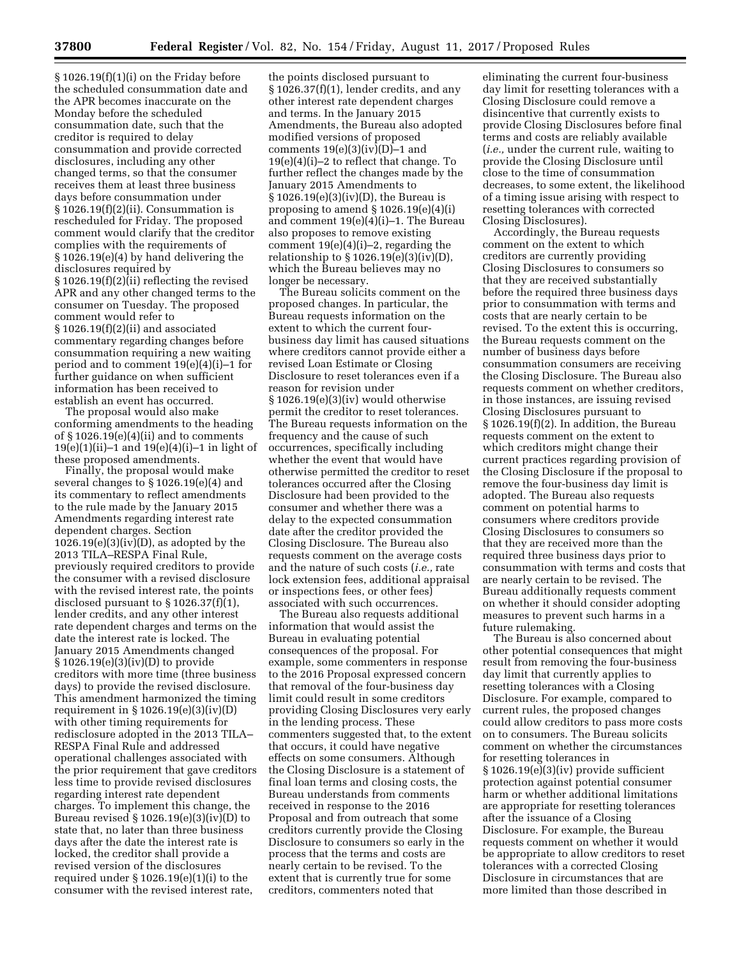§ 1026.19(f)(1)(i) on the Friday before the scheduled consummation date and the APR becomes inaccurate on the Monday before the scheduled consummation date, such that the creditor is required to delay consummation and provide corrected disclosures, including any other changed terms, so that the consumer receives them at least three business days before consummation under § 1026.19(f)(2)(ii). Consummation is rescheduled for Friday. The proposed comment would clarify that the creditor complies with the requirements of § 1026.19(e)(4) by hand delivering the disclosures required by § 1026.19(f)(2)(ii) reflecting the revised APR and any other changed terms to the consumer on Tuesday. The proposed comment would refer to § 1026.19(f)(2)(ii) and associated commentary regarding changes before consummation requiring a new waiting period and to comment 19(e)(4)(i)–1 for further guidance on when sufficient information has been received to establish an event has occurred.

The proposal would also make conforming amendments to the heading of  $\S 1026.19(e)(4)(ii)$  and to comments 19(e)(1)(ii)–1 and 19(e)(4)(i)–1 in light of these proposed amendments.

Finally, the proposal would make several changes to § 1026.19(e)(4) and its commentary to reflect amendments to the rule made by the January 2015 Amendments regarding interest rate dependent charges. Section  $1026.19(e)(3)(iv)(D)$ , as adopted by the 2013 TILA–RESPA Final Rule, previously required creditors to provide the consumer with a revised disclosure with the revised interest rate, the points disclosed pursuant to  $\S 1026.37(f)(1)$ , lender credits, and any other interest rate dependent charges and terms on the date the interest rate is locked. The January 2015 Amendments changed § 1026.19(e)(3)(iv)(D) to provide creditors with more time (three business days) to provide the revised disclosure. This amendment harmonized the timing requirement in § 1026.19(e)(3)(iv)(D) with other timing requirements for redisclosure adopted in the 2013 TILA– RESPA Final Rule and addressed operational challenges associated with the prior requirement that gave creditors less time to provide revised disclosures regarding interest rate dependent charges. To implement this change, the Bureau revised  $\S 1026.19(e)(3)(iv)(D)$  to state that, no later than three business days after the date the interest rate is locked, the creditor shall provide a revised version of the disclosures required under § 1026.19(e)(1)(i) to the consumer with the revised interest rate,

the points disclosed pursuant to  $\S 1026.37(f)(1)$ , lender credits, and any other interest rate dependent charges and terms. In the January 2015 Amendments, the Bureau also adopted modified versions of proposed comments  $19(e)(3)(iv)(D)-1$  and 19(e)(4)(i)–2 to reflect that change. To further reflect the changes made by the January 2015 Amendments to § 1026.19(e)(3)(iv)(D), the Bureau is proposing to amend § 1026.19(e)(4)(i) and comment 19(e)(4)(i)–1. The Bureau also proposes to remove existing comment  $19(e)(4)(i)-2$ , regarding the relationship to  $\S 1026.19(e)(3)(iv)(D)$ , which the Bureau believes may no longer be necessary.

The Bureau solicits comment on the proposed changes. In particular, the Bureau requests information on the extent to which the current fourbusiness day limit has caused situations where creditors cannot provide either a revised Loan Estimate or Closing Disclosure to reset tolerances even if a reason for revision under  $§ 1026.19(e)(3)(iv)$  would otherwise permit the creditor to reset tolerances. The Bureau requests information on the frequency and the cause of such occurrences, specifically including whether the event that would have otherwise permitted the creditor to reset tolerances occurred after the Closing Disclosure had been provided to the consumer and whether there was a delay to the expected consummation date after the creditor provided the Closing Disclosure. The Bureau also requests comment on the average costs and the nature of such costs (*i.e.,* rate lock extension fees, additional appraisal or inspections fees, or other fees) associated with such occurrences.

The Bureau also requests additional information that would assist the Bureau in evaluating potential consequences of the proposal. For example, some commenters in response to the 2016 Proposal expressed concern that removal of the four-business day limit could result in some creditors providing Closing Disclosures very early in the lending process. These commenters suggested that, to the extent that occurs, it could have negative effects on some consumers. Although the Closing Disclosure is a statement of final loan terms and closing costs, the Bureau understands from comments received in response to the 2016 Proposal and from outreach that some creditors currently provide the Closing Disclosure to consumers so early in the process that the terms and costs are nearly certain to be revised. To the extent that is currently true for some creditors, commenters noted that

eliminating the current four-business day limit for resetting tolerances with a Closing Disclosure could remove a disincentive that currently exists to provide Closing Disclosures before final terms and costs are reliably available (*i.e.,* under the current rule, waiting to provide the Closing Disclosure until close to the time of consummation decreases, to some extent, the likelihood of a timing issue arising with respect to resetting tolerances with corrected Closing Disclosures).

Accordingly, the Bureau requests comment on the extent to which creditors are currently providing Closing Disclosures to consumers so that they are received substantially before the required three business days prior to consummation with terms and costs that are nearly certain to be revised. To the extent this is occurring, the Bureau requests comment on the number of business days before consummation consumers are receiving the Closing Disclosure. The Bureau also requests comment on whether creditors, in those instances, are issuing revised Closing Disclosures pursuant to § 1026.19(f)(2). In addition, the Bureau requests comment on the extent to which creditors might change their current practices regarding provision of the Closing Disclosure if the proposal to remove the four-business day limit is adopted. The Bureau also requests comment on potential harms to consumers where creditors provide Closing Disclosures to consumers so that they are received more than the required three business days prior to consummation with terms and costs that are nearly certain to be revised. The Bureau additionally requests comment on whether it should consider adopting measures to prevent such harms in a future rulemaking.

The Bureau is also concerned about other potential consequences that might result from removing the four-business day limit that currently applies to resetting tolerances with a Closing Disclosure. For example, compared to current rules, the proposed changes could allow creditors to pass more costs on to consumers. The Bureau solicits comment on whether the circumstances for resetting tolerances in § 1026.19(e)(3)(iv) provide sufficient protection against potential consumer harm or whether additional limitations are appropriate for resetting tolerances after the issuance of a Closing Disclosure. For example, the Bureau requests comment on whether it would be appropriate to allow creditors to reset tolerances with a corrected Closing Disclosure in circumstances that are more limited than those described in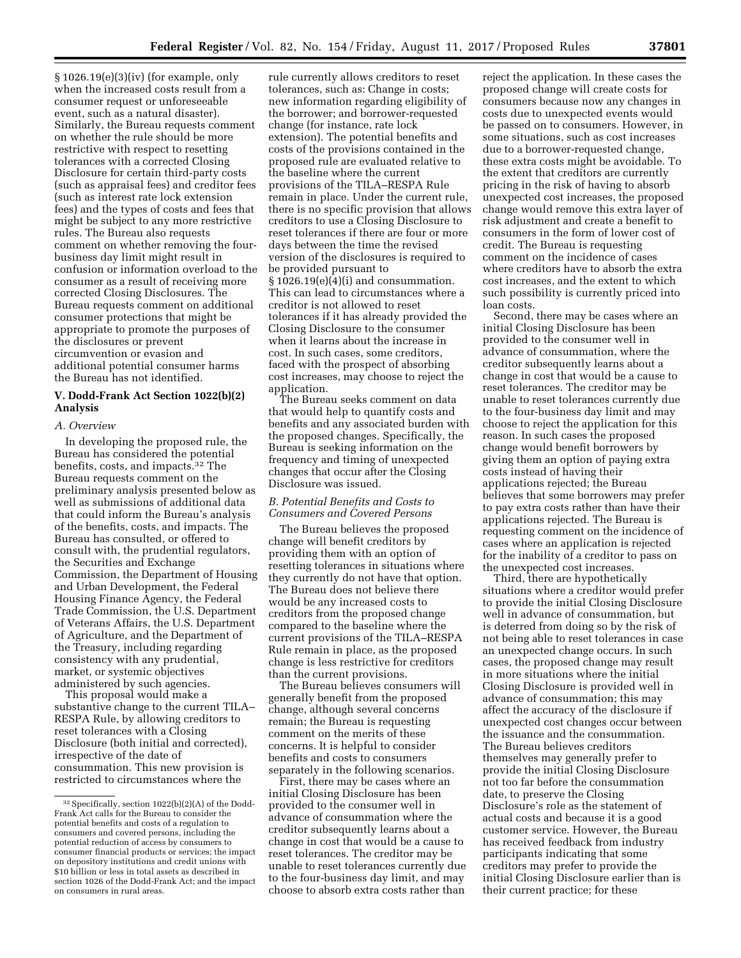§ 1026.19(e)(3)(iv) (for example, only when the increased costs result from a consumer request or unforeseeable event, such as a natural disaster). Similarly, the Bureau requests comment on whether the rule should be more restrictive with respect to resetting tolerances with a corrected Closing Disclosure for certain third-party costs (such as appraisal fees) and creditor fees (such as interest rate lock extension fees) and the types of costs and fees that might be subject to any more restrictive rules. The Bureau also requests comment on whether removing the fourbusiness day limit might result in confusion or information overload to the consumer as a result of receiving more corrected Closing Disclosures. The Bureau requests comment on additional consumer protections that might be appropriate to promote the purposes of the disclosures or prevent circumvention or evasion and additional potential consumer harms the Bureau has not identified.

## **V. Dodd-Frank Act Section 1022(b)(2) Analysis**

### *A. Overview*

In developing the proposed rule, the Bureau has considered the potential benefits, costs, and impacts.32 The Bureau requests comment on the preliminary analysis presented below as well as submissions of additional data that could inform the Bureau's analysis of the benefits, costs, and impacts. The Bureau has consulted, or offered to consult with, the prudential regulators, the Securities and Exchange Commission, the Department of Housing and Urban Development, the Federal Housing Finance Agency, the Federal Trade Commission, the U.S. Department of Veterans Affairs, the U.S. Department of Agriculture, and the Department of the Treasury, including regarding consistency with any prudential, market, or systemic objectives administered by such agencies.

This proposal would make a substantive change to the current TILA– RESPA Rule, by allowing creditors to reset tolerances with a Closing Disclosure (both initial and corrected), irrespective of the date of consummation. This new provision is restricted to circumstances where the

rule currently allows creditors to reset tolerances, such as: Change in costs; new information regarding eligibility of the borrower; and borrower-requested change (for instance, rate lock extension). The potential benefits and costs of the provisions contained in the proposed rule are evaluated relative to the baseline where the current provisions of the TILA–RESPA Rule remain in place. Under the current rule, there is no specific provision that allows creditors to use a Closing Disclosure to reset tolerances if there are four or more days between the time the revised version of the disclosures is required to be provided pursuant to  $§ 1026.19(e)(4)(i)$  and consummation. This can lead to circumstances where a creditor is not allowed to reset tolerances if it has already provided the Closing Disclosure to the consumer when it learns about the increase in cost. In such cases, some creditors, faced with the prospect of absorbing cost increases, may choose to reject the application.

The Bureau seeks comment on data that would help to quantify costs and benefits and any associated burden with the proposed changes. Specifically, the Bureau is seeking information on the frequency and timing of unexpected changes that occur after the Closing Disclosure was issued.

## *B. Potential Benefits and Costs to Consumers and Covered Persons*

The Bureau believes the proposed change will benefit creditors by providing them with an option of resetting tolerances in situations where they currently do not have that option. The Bureau does not believe there would be any increased costs to creditors from the proposed change compared to the baseline where the current provisions of the TILA–RESPA Rule remain in place, as the proposed change is less restrictive for creditors than the current provisions.

The Bureau believes consumers will generally benefit from the proposed change, although several concerns remain; the Bureau is requesting comment on the merits of these concerns. It is helpful to consider benefits and costs to consumers separately in the following scenarios.

First, there may be cases where an initial Closing Disclosure has been provided to the consumer well in advance of consummation where the creditor subsequently learns about a change in cost that would be a cause to reset tolerances. The creditor may be unable to reset tolerances currently due to the four-business day limit, and may choose to absorb extra costs rather than

reject the application. In these cases the proposed change will create costs for consumers because now any changes in costs due to unexpected events would be passed on to consumers. However, in some situations, such as cost increases due to a borrower-requested change, these extra costs might be avoidable. To the extent that creditors are currently pricing in the risk of having to absorb unexpected cost increases, the proposed change would remove this extra layer of risk adjustment and create a benefit to consumers in the form of lower cost of credit. The Bureau is requesting comment on the incidence of cases where creditors have to absorb the extra cost increases, and the extent to which such possibility is currently priced into loan costs.

Second, there may be cases where an initial Closing Disclosure has been provided to the consumer well in advance of consummation, where the creditor subsequently learns about a change in cost that would be a cause to reset tolerances. The creditor may be unable to reset tolerances currently due to the four-business day limit and may choose to reject the application for this reason. In such cases the proposed change would benefit borrowers by giving them an option of paying extra costs instead of having their applications rejected; the Bureau believes that some borrowers may prefer to pay extra costs rather than have their applications rejected. The Bureau is requesting comment on the incidence of cases where an application is rejected for the inability of a creditor to pass on the unexpected cost increases.

Third, there are hypothetically situations where a creditor would prefer to provide the initial Closing Disclosure well in advance of consummation, but is deterred from doing so by the risk of not being able to reset tolerances in case an unexpected change occurs. In such cases, the proposed change may result in more situations where the initial Closing Disclosure is provided well in advance of consummation; this may affect the accuracy of the disclosure if unexpected cost changes occur between the issuance and the consummation. The Bureau believes creditors themselves may generally prefer to provide the initial Closing Disclosure not too far before the consummation date, to preserve the Closing Disclosure's role as the statement of actual costs and because it is a good customer service. However, the Bureau has received feedback from industry participants indicating that some creditors may prefer to provide the initial Closing Disclosure earlier than is their current practice; for these

<sup>32</sup>Specifically, section 1022(b)(2)(A) of the Dodd-Frank Act calls for the Bureau to consider the potential benefits and costs of a regulation to consumers and covered persons, including the potential reduction of access by consumers to consumer financial products or services; the impact on depository institutions and credit unions with \$10 billion or less in total assets as described in section 1026 of the Dodd-Frank Act; and the impact on consumers in rural areas.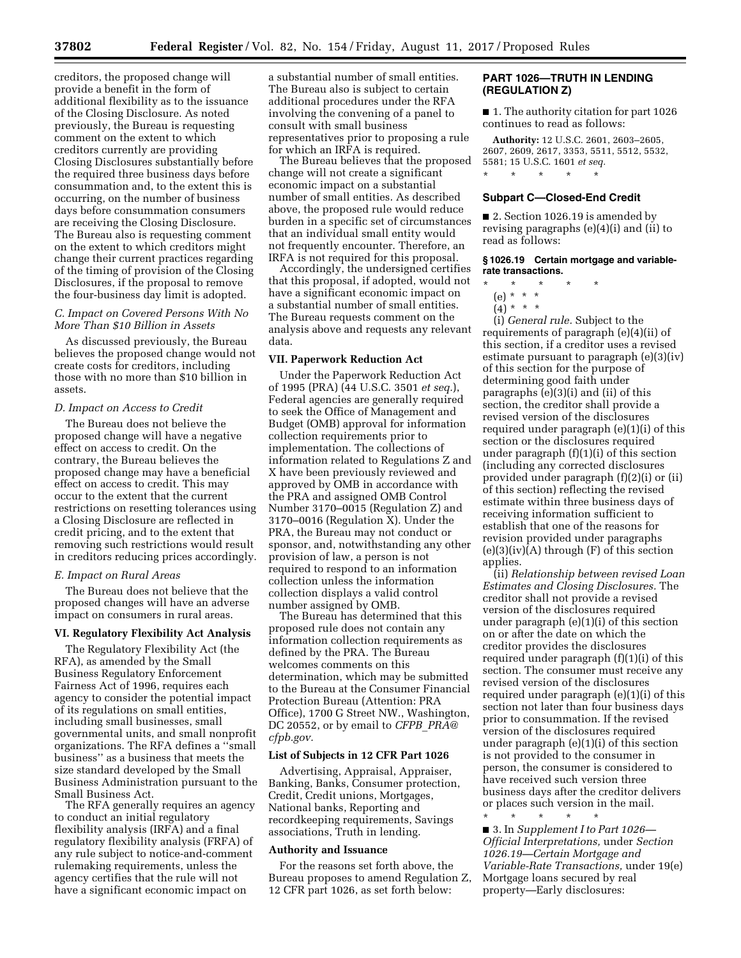creditors, the proposed change will provide a benefit in the form of additional flexibility as to the issuance of the Closing Disclosure. As noted previously, the Bureau is requesting comment on the extent to which creditors currently are providing Closing Disclosures substantially before the required three business days before consummation and, to the extent this is occurring, on the number of business days before consummation consumers are receiving the Closing Disclosure. The Bureau also is requesting comment on the extent to which creditors might change their current practices regarding of the timing of provision of the Closing Disclosures, if the proposal to remove the four-business day limit is adopted.

## *C. Impact on Covered Persons With No More Than \$10 Billion in Assets*

As discussed previously, the Bureau believes the proposed change would not create costs for creditors, including those with no more than \$10 billion in assets.

## *D. Impact on Access to Credit*

The Bureau does not believe the proposed change will have a negative effect on access to credit. On the contrary, the Bureau believes the proposed change may have a beneficial effect on access to credit. This may occur to the extent that the current restrictions on resetting tolerances using a Closing Disclosure are reflected in credit pricing, and to the extent that removing such restrictions would result in creditors reducing prices accordingly.

#### *E. Impact on Rural Areas*

The Bureau does not believe that the proposed changes will have an adverse impact on consumers in rural areas.

### **VI. Regulatory Flexibility Act Analysis**

The Regulatory Flexibility Act (the RFA), as amended by the Small Business Regulatory Enforcement Fairness Act of 1996, requires each agency to consider the potential impact of its regulations on small entities, including small businesses, small governmental units, and small nonprofit organizations. The RFA defines a ''small business'' as a business that meets the size standard developed by the Small Business Administration pursuant to the Small Business Act.

The RFA generally requires an agency to conduct an initial regulatory flexibility analysis (IRFA) and a final regulatory flexibility analysis (FRFA) of any rule subject to notice-and-comment rulemaking requirements, unless the agency certifies that the rule will not have a significant economic impact on

a substantial number of small entities. The Bureau also is subject to certain additional procedures under the RFA involving the convening of a panel to consult with small business representatives prior to proposing a rule for which an IRFA is required.

The Bureau believes that the proposed change will not create a significant economic impact on a substantial number of small entities. As described above, the proposed rule would reduce burden in a specific set of circumstances that an individual small entity would not frequently encounter. Therefore, an IRFA is not required for this proposal.

Accordingly, the undersigned certifies that this proposal, if adopted, would not have a significant economic impact on a substantial number of small entities. The Bureau requests comment on the analysis above and requests any relevant data.

#### **VII. Paperwork Reduction Act**

Under the Paperwork Reduction Act of 1995 (PRA) (44 U.S.C. 3501 *et seq.*), Federal agencies are generally required to seek the Office of Management and Budget (OMB) approval for information collection requirements prior to implementation. The collections of information related to Regulations Z and X have been previously reviewed and approved by OMB in accordance with the PRA and assigned OMB Control Number 3170–0015 (Regulation Z) and 3170–0016 (Regulation X). Under the PRA, the Bureau may not conduct or sponsor, and, notwithstanding any other provision of law, a person is not required to respond to an information collection unless the information collection displays a valid control number assigned by OMB.

The Bureau has determined that this proposed rule does not contain any information collection requirements as defined by the PRA. The Bureau welcomes comments on this determination, which may be submitted to the Bureau at the Consumer Financial Protection Bureau (Attention: PRA Office), 1700 G Street NW., Washington, DC 20552, or by email to *CFPB*\_*[PRA@](mailto:CFPB_PRA@cfpb.gov) [cfpb.gov.](mailto:CFPB_PRA@cfpb.gov)* 

#### **List of Subjects in 12 CFR Part 1026**

Advertising, Appraisal, Appraiser, Banking, Banks, Consumer protection, Credit, Credit unions, Mortgages, National banks, Reporting and recordkeeping requirements, Savings associations, Truth in lending.

### **Authority and Issuance**

For the reasons set forth above, the Bureau proposes to amend Regulation Z, 12 CFR part 1026, as set forth below:

## **PART 1026—TRUTH IN LENDING (REGULATION Z)**

■ 1. The authority citation for part 1026 continues to read as follows:

**Authority:** 12 U.S.C. 2601, 2603–2605, 2607, 2609, 2617, 3353, 5511, 5512, 5532, 5581; 15 U.S.C. 1601 *et seq.*  \* \* \* \* \*

## **Subpart C—Closed-End Credit**

■ 2. Section 1026.19 is amended by revising paragraphs (e)(4)(i) and (ii) to read as follows:

**§ 1026.19 Certain mortgage and variablerate transactions.** 

- \* \* \* \* \*
	- (e) \* \* \*  $(4) * * * *$
	-

(i) *General rule.* Subject to the requirements of paragraph (e)(4)(ii) of this section, if a creditor uses a revised estimate pursuant to paragraph (e)(3)(iv) of this section for the purpose of determining good faith under paragraphs (e)(3)(i) and (ii) of this section, the creditor shall provide a revised version of the disclosures required under paragraph (e)(1)(i) of this section or the disclosures required under paragraph (f)(1)(i) of this section (including any corrected disclosures provided under paragraph (f)(2)(i) or (ii) of this section) reflecting the revised estimate within three business days of receiving information sufficient to establish that one of the reasons for revision provided under paragraphs  $(e)(3)(iv)(A)$  through  $(F)$  of this section applies.

(ii) *Relationship between revised Loan Estimates and Closing Disclosures.* The creditor shall not provide a revised version of the disclosures required under paragraph (e)(1)(i) of this section on or after the date on which the creditor provides the disclosures required under paragraph (f)(1)(i) of this section. The consumer must receive any revised version of the disclosures required under paragraph (e)(1)(i) of this section not later than four business days prior to consummation. If the revised version of the disclosures required under paragraph (e)(1)(i) of this section is not provided to the consumer in person, the consumer is considered to have received such version three business days after the creditor delivers or places such version in the mail.

\* \* \* \* \* ■ 3. In *Supplement I to Part 1026— Official Interpretations,* under *Section 1026.19—Certain Mortgage and Variable-Rate Transactions,* under 19(e) Mortgage loans secured by real property—Early disclosures: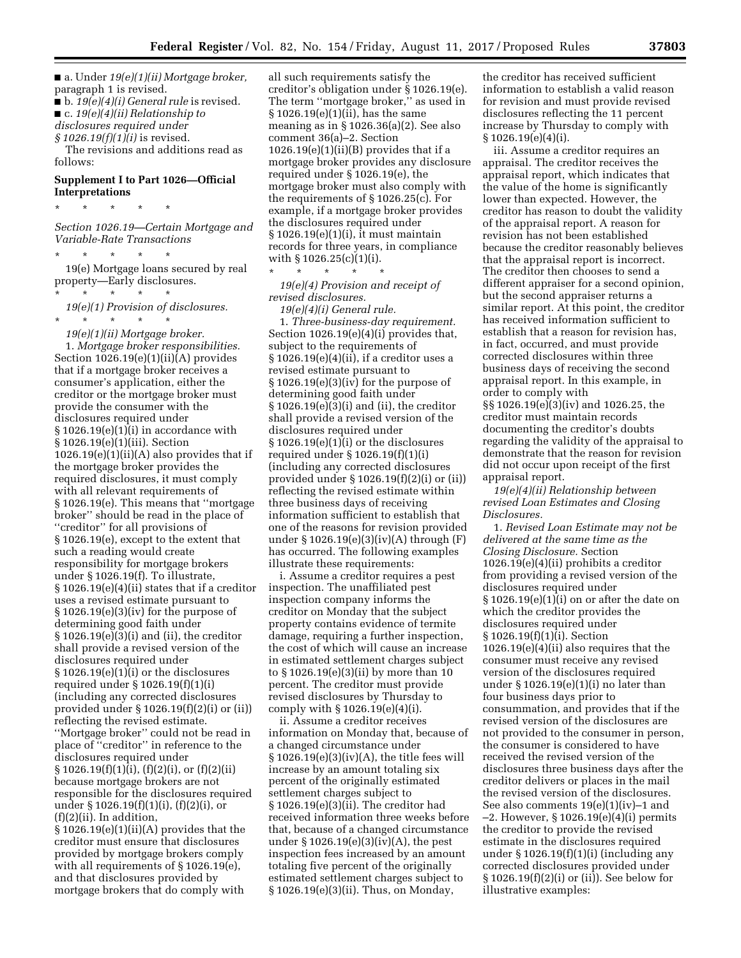■ a. Under *19(e)(1)(ii) Mortgage broker,*  paragraph 1 is revised.

■ b. *19(e)(4)(i) General rule* is revised. ■ c. *19(e)(4)(ii) Relationship to disclosures required under* 

*§ 1026.19(f)(1)(i)* is revised.

\* \* \* \* \*

The revisions and additions read as follows:

# **Supplement I to Part 1026—Official Interpretations**

*Section 1026.19—Certain Mortgage and Variable-Rate Transactions* 

\* \* \* \* \* 19(e) Mortgage loans secured by real property—Early disclosures.

\* \* \* \* \* *19(e)(1) Provision of disclosures.*  \* \* \* \* \*

*19(e)(1)(ii) Mortgage broker.*  1. *Mortgage broker responsibilities.*  Section  $1026.19(e)(1)(ii)(A)$  provides that if a mortgage broker receives a consumer's application, either the creditor or the mortgage broker must provide the consumer with the disclosures required under  $§ 1026.19(e)(1)(i)$  in accordance with § 1026.19(e)(1)(iii). Section 1026.19(e)(1)(ii)(A) also provides that if the mortgage broker provides the required disclosures, it must comply with all relevant requirements of § 1026.19(e). This means that ''mortgage broker'' should be read in the place of ''creditor'' for all provisions of § 1026.19(e), except to the extent that such a reading would create responsibility for mortgage brokers under § 1026.19(f). To illustrate, § 1026.19(e)(4)(ii) states that if a creditor uses a revised estimate pursuant to § 1026.19(e)(3)(iv) for the purpose of determining good faith under § 1026.19(e)(3)(i) and (ii), the creditor shall provide a revised version of the disclosures required under § 1026.19(e)(1)(i) or the disclosures required under § 1026.19(f)(1)(i) (including any corrected disclosures provided under § 1026.19(f)(2)(i) or (ii)) reflecting the revised estimate. ''Mortgage broker'' could not be read in place of ''creditor'' in reference to the disclosures required under  $\S 1026.19(f)(1)(i)$ ,  $(f)(2)(i)$ , or  $(f)(2)(ii)$ because mortgage brokers are not responsible for the disclosures required under § 1026.19(f)(1)(i), (f)(2)(i), or  $(f)(2)(ii)$ . In addition, § 1026.19(e)(1)(ii)(A) provides that the

creditor must ensure that disclosures provided by mortgage brokers comply with all requirements of § 1026.19(e), and that disclosures provided by mortgage brokers that do comply with

all such requirements satisfy the creditor's obligation under § 1026.19(e). The term ''mortgage broker,'' as used in § 1026.19(e)(1)(ii), has the same meaning as in § 1026.36(a)(2). See also comment 36(a)–2. Section  $1026.19(e)(1)(ii)(B)$  provides that if a mortgage broker provides any disclosure required under § 1026.19(e), the mortgage broker must also comply with the requirements of § 1026.25(c). For example, if a mortgage broker provides the disclosures required under § 1026.19(e)(1)(i), it must maintain records for three years, in compliance with § 1026.25(c)(1)(i).

*19(e)(4) Provision and receipt of revised disclosures.* 

*19(e)(4)(i) General rule.* 

\* \* \* \* \*

1. *Three-business-day requirement.*  Section 1026.19(e)(4)(i) provides that, subject to the requirements of § 1026.19(e)(4)(ii), if a creditor uses a revised estimate pursuant to § 1026.19(e)(3)(iv) for the purpose of determining good faith under § 1026.19(e)(3)(i) and (ii), the creditor shall provide a revised version of the disclosures required under § 1026.19(e)(1)(i) or the disclosures required under § 1026.19(f)(1)(i) (including any corrected disclosures provided under § 1026.19(f)(2)(i) or (ii)) reflecting the revised estimate within three business days of receiving information sufficient to establish that one of the reasons for revision provided under § 1026.19(e)(3)(iv)(A) through (F) has occurred. The following examples illustrate these requirements:

i. Assume a creditor requires a pest inspection. The unaffiliated pest inspection company informs the creditor on Monday that the subject property contains evidence of termite damage, requiring a further inspection, the cost of which will cause an increase in estimated settlement charges subject to § 1026.19(e)(3)(ii) by more than 10 percent. The creditor must provide revised disclosures by Thursday to comply with § 1026.19(e)(4)(i).

ii. Assume a creditor receives information on Monday that, because of a changed circumstance under  $§ 1026.19(e)(3)(iv)(A)$ , the title fees will increase by an amount totaling six percent of the originally estimated settlement charges subject to § 1026.19(e)(3)(ii). The creditor had received information three weeks before that, because of a changed circumstance under § 1026.19(e)(3)(iv)(A), the pest inspection fees increased by an amount totaling five percent of the originally estimated settlement charges subject to § 1026.19(e)(3)(ii). Thus, on Monday,

the creditor has received sufficient information to establish a valid reason for revision and must provide revised disclosures reflecting the 11 percent increase by Thursday to comply with § 1026.19(e)(4)(i).

iii. Assume a creditor requires an appraisal. The creditor receives the appraisal report, which indicates that the value of the home is significantly lower than expected. However, the creditor has reason to doubt the validity of the appraisal report. A reason for revision has not been established because the creditor reasonably believes that the appraisal report is incorrect. The creditor then chooses to send a different appraiser for a second opinion, but the second appraiser returns a similar report. At this point, the creditor has received information sufficient to establish that a reason for revision has, in fact, occurred, and must provide corrected disclosures within three business days of receiving the second appraisal report. In this example, in order to comply with §§ 1026.19(e)(3)(iv) and 1026.25, the creditor must maintain records documenting the creditor's doubts regarding the validity of the appraisal to demonstrate that the reason for revision did not occur upon receipt of the first appraisal report.

*19(e)(4)(ii) Relationship between revised Loan Estimates and Closing Disclosures.* 

1. *Revised Loan Estimate may not be delivered at the same time as the Closing Disclosure.* Section 1026.19(e)(4)(ii) prohibits a creditor from providing a revised version of the disclosures required under  $§ 1026.19(e)(1)(i)$  on or after the date on which the creditor provides the disclosures required under § 1026.19(f)(1)(i). Section 1026.19(e)(4)(ii) also requires that the consumer must receive any revised version of the disclosures required under § 1026.19(e)(1)(i) no later than four business days prior to consummation, and provides that if the revised version of the disclosures are not provided to the consumer in person, the consumer is considered to have received the revised version of the disclosures three business days after the creditor delivers or places in the mail the revised version of the disclosures. See also comments 19(e)(1)(iv)–1 and –2. However, § 1026.19(e)(4)(i) permits the creditor to provide the revised estimate in the disclosures required under § 1026.19(f)(1)(i) (including any corrected disclosures provided under § 1026.19(f)(2)(i) or (ii)). See below for illustrative examples: